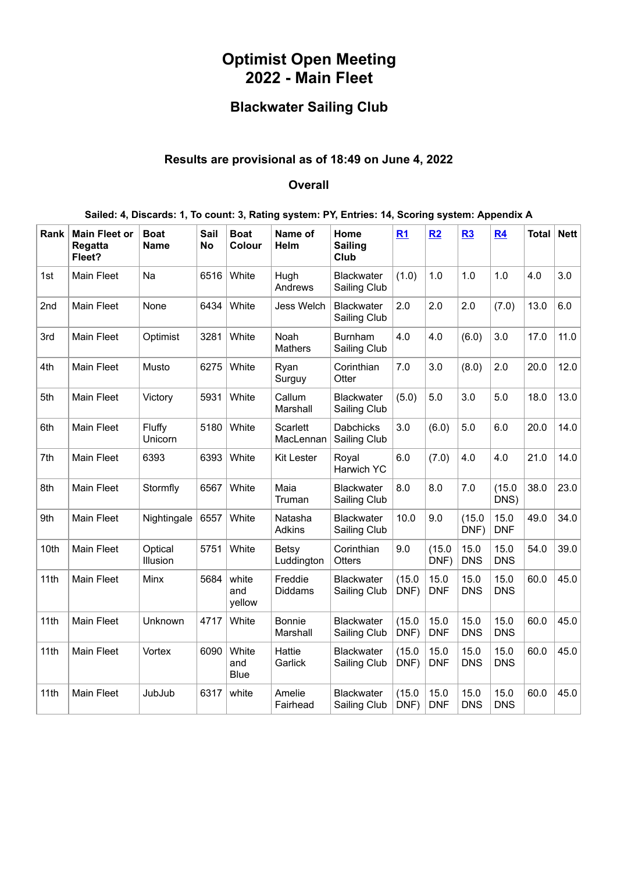## **Optimist Open Meeting 2022 - Main Fleet**

## **Blackwater Sailing Club**

## **Results are provisional as of 18:49 on June 4, 2022**

## **Overall**

| Rank | <b>Main Fleet or</b><br>Regatta<br>Fleet? | <b>Boat</b><br>Name | Sail<br><b>No</b> | <b>Boat</b><br>Colour       | Name of<br>Helm              | Home<br><b>Sailing</b><br>Club    | R1             | R2                 | R3                 | R <sub>4</sub>     | <b>Total</b> | <b>Nett</b> |
|------|-------------------------------------------|---------------------|-------------------|-----------------------------|------------------------------|-----------------------------------|----------------|--------------------|--------------------|--------------------|--------------|-------------|
| 1st  | <b>Main Fleet</b>                         | Na                  | 6516              | White                       | Hugh<br>Andrews              | <b>Blackwater</b><br>Sailing Club | (1.0)          | 1.0                | 1.0                | 1.0                | 4.0          | 3.0         |
| 2nd  | <b>Main Fleet</b>                         | None                | 6434              | White                       | <b>Jess Welch</b>            | <b>Blackwater</b><br>Sailing Club | 2.0            | 2.0                | 2.0                | (7.0)              | 13.0         | 6.0         |
| 3rd  | <b>Main Fleet</b>                         | Optimist            | 3281              | White                       | Noah<br><b>Mathers</b>       | <b>Burnham</b><br>Sailing Club    | 4.0            | 4.0                | (6.0)              | 3.0                | 17.0         | 11.0        |
| 4th  | Main Fleet                                | Musto               | 6275              | White                       | Ryan<br>Surguy               | Corinthian<br>Otter               | 7.0            | 3.0                | (8.0)              | 2.0                | 20.0         | 12.0        |
| 5th  | <b>Main Fleet</b>                         | Victory             | 5931              | White                       | Callum<br>Marshall           | <b>Blackwater</b><br>Sailing Club | (5.0)          | 5.0                | 3.0                | 5.0                | 18.0         | 13.0        |
| 6th  | <b>Main Fleet</b>                         | Fluffy<br>Unicorn   | 5180              | White                       | <b>Scarlett</b><br>MacLennan | <b>Dabchicks</b><br>Sailing Club  | 3.0            | (6.0)              | 5.0                | 6.0                | 20.0         | 14.0        |
| 7th  | Main Fleet                                | 6393                | 6393              | White                       | <b>Kit Lester</b>            | Royal<br>Harwich YC               | 6.0            | (7.0)              | 4.0                | 4.0                | 21.0         | 14.0        |
| 8th  | <b>Main Fleet</b>                         | Stormfly            | 6567              | White                       | Maia<br>Truman               | <b>Blackwater</b><br>Sailing Club | 8.0            | 8.0                | 7.0                | (15.0)<br>DNS)     | 38.0         | 23.0        |
| 9th  | Main Fleet                                | Nightingale         | 6557              | White                       | Natasha<br><b>Adkins</b>     | <b>Blackwater</b><br>Sailing Club | 10.0           | 9.0                | (15.0)<br>DNF)     | 15.0<br><b>DNF</b> | 49.0         | 34.0        |
| 10th | Main Fleet                                | Optical<br>Illusion | 5751              | White                       | Betsy<br>Luddington          | Corinthian<br>Otters              | 9.0            | (15.0)<br>DNF)     | 15.0<br><b>DNS</b> | 15.0<br><b>DNS</b> | 54.0         | 39.0        |
| 11th | Main Fleet                                | Minx                | 5684              | white<br>and<br>yellow      | Freddie<br><b>Diddams</b>    | Blackwater<br>Sailing Club        | (15.0)<br>DNF) | 15.0<br><b>DNF</b> | 15.0<br><b>DNS</b> | 15.0<br><b>DNS</b> | 60.0         | 45.0        |
| 11th | <b>Main Fleet</b>                         | Unknown             | 4717              | White                       | <b>Bonnie</b><br>Marshall    | Blackwater<br>Sailing Club        | (15.0)<br>DNF) | 15.0<br><b>DNF</b> | 15.0<br><b>DNS</b> | 15.0<br><b>DNS</b> | 60.0         | 45.0        |
| 11th | Main Fleet                                | Vortex              | 6090              | White<br>and<br><b>Blue</b> | Hattie<br>Garlick            | <b>Blackwater</b><br>Sailing Club | (15.0)<br>DNF) | 15.0<br><b>DNF</b> | 15.0<br><b>DNS</b> | 15.0<br><b>DNS</b> | 60.0         | 45.0        |
| 11th | <b>Main Fleet</b>                         | JubJub              | 6317              | white                       | Amelie<br>Fairhead           | <b>Blackwater</b><br>Sailing Club | (15.0)<br>DNF) | 15.0<br><b>DNF</b> | 15.0<br><b>DNS</b> | 15.0<br><b>DNS</b> | 60.0         | 45.0        |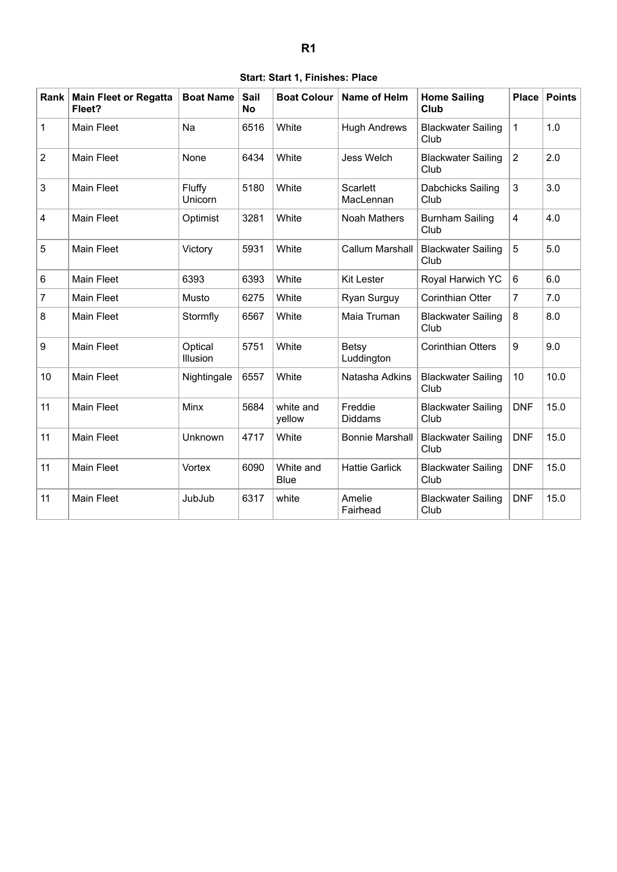|  |  |  | Start: Start 1, Finishes: Place |  |
|--|--|--|---------------------------------|--|
|--|--|--|---------------------------------|--|

<span id="page-1-0"></span>

| Rank $ $       | <b>Main Fleet or Regatta</b><br>Fleet? | <b>Boat Name</b>    | Sail<br><b>No</b> | <b>Boat Colour</b>       | Name of Helm                 | <b>Home Sailing</b><br>Club       | <b>Place</b>            | <b>Points</b> |
|----------------|----------------------------------------|---------------------|-------------------|--------------------------|------------------------------|-----------------------------------|-------------------------|---------------|
| 1              | Main Fleet                             | Na                  | 6516              | White                    | <b>Hugh Andrews</b>          | <b>Blackwater Sailing</b><br>Club | $\mathbf{1}$            | 1.0           |
| $\overline{2}$ | <b>Main Fleet</b>                      | None                | 6434              | White                    | <b>Jess Welch</b>            | <b>Blackwater Sailing</b><br>Club | $\overline{2}$          | 2.0           |
| 3              | Main Fleet                             | Fluffy<br>Unicorn   | 5180              | White                    | <b>Scarlett</b><br>MacLennan | Dabchicks Sailing<br>Club         | 3                       | 3.0           |
| 4              | <b>Main Fleet</b>                      | Optimist            | 3281              | White                    | Noah Mathers                 | <b>Burnham Sailing</b><br>Club    | $\overline{\mathbf{4}}$ | 4.0           |
| 5              | <b>Main Fleet</b>                      | Victory             | 5931              | White                    | <b>Callum Marshall</b>       | <b>Blackwater Sailing</b><br>Club | 5                       | 5.0           |
| 6              | Main Fleet                             | 6393                | 6393              | White                    | <b>Kit Lester</b>            | Royal Harwich YC                  | 6                       | 6.0           |
| 7              | <b>Main Fleet</b>                      | Musto               | 6275              | White                    | Ryan Surguy                  | <b>Corinthian Otter</b>           | $\overline{7}$          | 7.0           |
| 8              | <b>Main Fleet</b>                      | Stormfly            | 6567              | White                    | Maia Truman                  | <b>Blackwater Sailing</b><br>Club | 8                       | 8.0           |
| 9              | <b>Main Fleet</b>                      | Optical<br>Illusion | 5751              | White                    | Betsy<br>Luddington          | <b>Corinthian Otters</b>          | 9                       | 9.0           |
| 10             | <b>Main Fleet</b>                      | Nightingale         | 6557              | White                    | Natasha Adkins               | <b>Blackwater Sailing</b><br>Club | 10                      | 10.0          |
| 11             | <b>Main Fleet</b>                      | Minx                | 5684              | white and<br>yellow      | Freddie<br><b>Diddams</b>    | <b>Blackwater Sailing</b><br>Club | <b>DNF</b>              | 15.0          |
| 11             | <b>Main Fleet</b>                      | Unknown             | 4717              | White                    | <b>Bonnie Marshall</b>       | <b>Blackwater Sailing</b><br>Club | <b>DNF</b>              | 15.0          |
| 11             | <b>Main Fleet</b>                      | Vortex              | 6090              | White and<br><b>Blue</b> | <b>Hattie Garlick</b>        | <b>Blackwater Sailing</b><br>Club | <b>DNF</b>              | 15.0          |
| 11             | <b>Main Fleet</b>                      | JubJub              | 6317              | white                    | Amelie<br>Fairhead           | <b>Blackwater Sailing</b><br>Club | <b>DNF</b>              | 15.0          |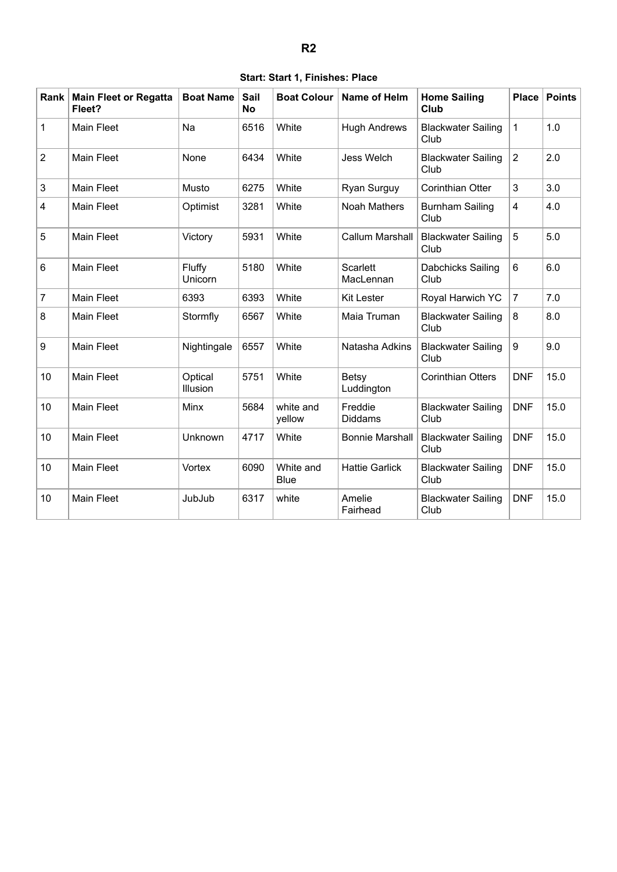|  |  |  | Start: Start 1, Finishes: Place |  |
|--|--|--|---------------------------------|--|
|--|--|--|---------------------------------|--|

<span id="page-2-0"></span>

| Rank           | <b>Main Fleet or Regatta</b><br>Fleet? | <b>Boat Name</b>    | Sail<br><b>No</b> | <b>Boat Colour</b>       | <b>Name of Helm</b>          | <b>Home Sailing</b><br>Club       | <b>Place</b>   | <b>Points</b> |
|----------------|----------------------------------------|---------------------|-------------------|--------------------------|------------------------------|-----------------------------------|----------------|---------------|
| 1              | <b>Main Fleet</b>                      | Na                  | 6516              | White                    | <b>Hugh Andrews</b>          | <b>Blackwater Sailing</b><br>Club | $\mathbf{1}$   | 1.0           |
| $\overline{2}$ | <b>Main Fleet</b>                      | None                | 6434              | White                    | <b>Jess Welch</b>            | <b>Blackwater Sailing</b><br>Club | $\overline{2}$ | 2.0           |
| 3              | <b>Main Fleet</b>                      | Musto               | 6275              | White                    | Ryan Surguy                  | <b>Corinthian Otter</b>           | 3              | 3.0           |
| 4              | <b>Main Fleet</b>                      | Optimist            | 3281              | White                    | <b>Noah Mathers</b>          | <b>Burnham Sailing</b><br>Club    | 4              | 4.0           |
| 5              | <b>Main Fleet</b>                      | Victory             | 5931              | White                    | <b>Callum Marshall</b>       | <b>Blackwater Sailing</b><br>Club | 5              | 5.0           |
| 6              | Main Fleet                             | Fluffy<br>Unicorn   | 5180              | White                    | <b>Scarlett</b><br>MacLennan | Dabchicks Sailing<br>Club         | 6              | 6.0           |
| 7              | <b>Main Fleet</b>                      | 6393                | 6393              | White                    | <b>Kit Lester</b>            | Royal Harwich YC                  | $\overline{7}$ | 7.0           |
| 8              | <b>Main Fleet</b>                      | Stormfly            | 6567              | White                    | Maia Truman                  | <b>Blackwater Sailing</b><br>Club | 8              | 8.0           |
| 9              | <b>Main Fleet</b>                      | Nightingale         | 6557              | White                    | Natasha Adkins               | <b>Blackwater Sailing</b><br>Club | 9              | 9.0           |
| 10             | <b>Main Fleet</b>                      | Optical<br>Illusion | 5751              | White                    | Betsy<br>Luddington          | <b>Corinthian Otters</b>          | <b>DNF</b>     | 15.0          |
| 10             | <b>Main Fleet</b>                      | Minx                | 5684              | white and<br>yellow      | Freddie<br><b>Diddams</b>    | <b>Blackwater Sailing</b><br>Club | <b>DNF</b>     | 15.0          |
| 10             | <b>Main Fleet</b>                      | <b>Unknown</b>      | 4717              | White                    | <b>Bonnie Marshall</b>       | <b>Blackwater Sailing</b><br>Club | <b>DNF</b>     | 15.0          |
| 10             | <b>Main Fleet</b>                      | Vortex              | 6090              | White and<br><b>Blue</b> | <b>Hattie Garlick</b>        | <b>Blackwater Sailing</b><br>Club | <b>DNF</b>     | 15.0          |
| 10             | <b>Main Fleet</b>                      | JubJub              | 6317              | white                    | Amelie<br>Fairhead           | <b>Blackwater Sailing</b><br>Club | <b>DNF</b>     | 15.0          |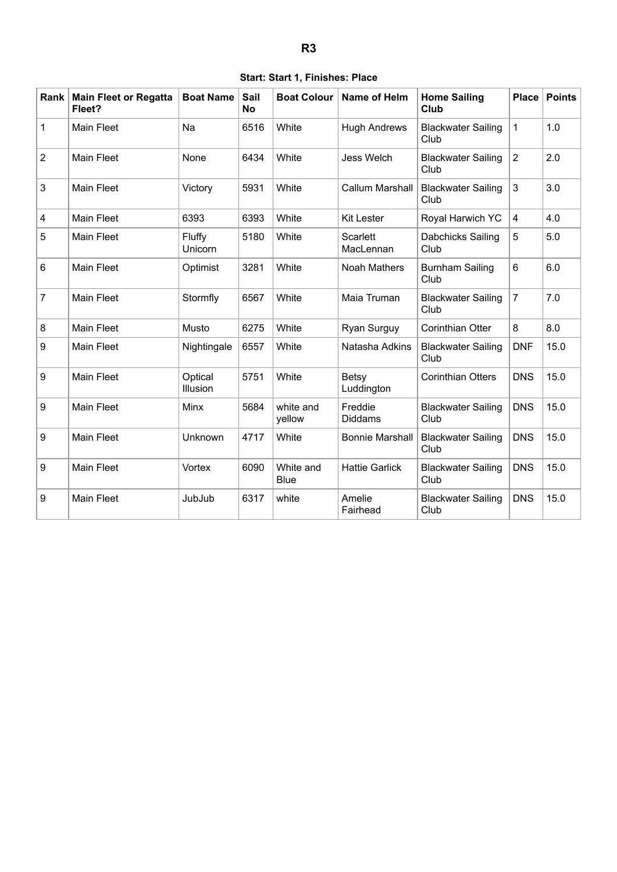|  |  |  | Start: Start 1, Finishes: Place |  |
|--|--|--|---------------------------------|--|
|--|--|--|---------------------------------|--|

<span id="page-3-0"></span>

| Rank           | <b>Main Fleet or Regatta</b><br>Fleet? | <b>Boat Name</b>    | Sail<br><b>No</b> | <b>Boat Colour</b>       | <b>Name of Helm</b>          | <b>Home Sailing</b><br>Club       | <b>Place</b>   | <b>Points</b> |
|----------------|----------------------------------------|---------------------|-------------------|--------------------------|------------------------------|-----------------------------------|----------------|---------------|
| $\mathbf{1}$   | <b>Main Fleet</b>                      | Na                  | 6516              | White                    | <b>Hugh Andrews</b>          | <b>Blackwater Sailing</b><br>Club | $\mathbf{1}$   | 1.0           |
| $\overline{2}$ | <b>Main Fleet</b>                      | None                | 6434              | White                    | Jess Welch                   | <b>Blackwater Sailing</b><br>Club | $\overline{2}$ | 2.0           |
| 3              | <b>Main Fleet</b>                      | Victory             | 5931              | White                    | <b>Callum Marshall</b>       | <b>Blackwater Sailing</b><br>Club | 3              | 3.0           |
| 4              | <b>Main Fleet</b>                      | 6393                | 6393              | White                    | <b>Kit Lester</b>            | Royal Harwich YC                  | $\overline{4}$ | 4.0           |
| 5              | Main Fleet                             | Fluffy<br>Unicorn   | 5180              | White                    | <b>Scarlett</b><br>MacLennan | Dabchicks Sailing<br>Club         | 5              | 5.0           |
| 6              | <b>Main Fleet</b>                      | Optimist            | 3281              | White                    | <b>Noah Mathers</b>          | <b>Burnham Sailing</b><br>Club    | 6              | 6.0           |
| $\overline{7}$ | <b>Main Fleet</b>                      | Stormfly            | 6567              | White                    | Maia Truman                  | <b>Blackwater Sailing</b><br>Club | $\overline{7}$ | 7.0           |
| 8              | <b>Main Fleet</b>                      | Musto               | 6275              | White                    | Ryan Surguy                  | <b>Corinthian Otter</b>           | 8              | 8.0           |
| 9              | <b>Main Fleet</b>                      | Nightingale         | 6557              | White                    | Natasha Adkins               | <b>Blackwater Sailing</b><br>Club | <b>DNF</b>     | 15.0          |
| 9              | <b>Main Fleet</b>                      | Optical<br>Illusion | 5751              | White                    | Betsy<br>Luddington          | <b>Corinthian Otters</b>          | <b>DNS</b>     | 15.0          |
| 9              | Main Fleet                             | Minx                | 5684              | white and<br>yellow      | Freddie<br><b>Diddams</b>    | <b>Blackwater Sailing</b><br>Club | <b>DNS</b>     | 15.0          |
| 9              | <b>Main Fleet</b>                      | Unknown             | 4717              | White                    | <b>Bonnie Marshall</b>       | <b>Blackwater Sailing</b><br>Club | <b>DNS</b>     | 15.0          |
| 9              | <b>Main Fleet</b>                      | Vortex              | 6090              | White and<br><b>Blue</b> | <b>Hattie Garlick</b>        | <b>Blackwater Sailing</b><br>Club | <b>DNS</b>     | 15.0          |
| 9              | <b>Main Fleet</b>                      | JubJub              | 6317              | white                    | Amelie<br>Fairhead           | <b>Blackwater Sailing</b><br>Club | <b>DNS</b>     | 15.0          |